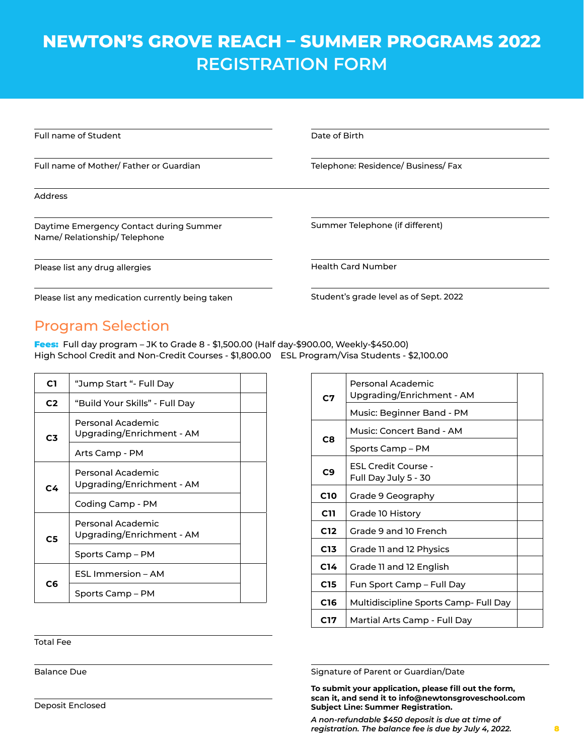## **NEWTON'S GROVE REACH – SUMMER PROGRAMS 2022 REGISTRATION FORM**

| Full name of Student                                                   | Date of Birth                          |  |
|------------------------------------------------------------------------|----------------------------------------|--|
| Full name of Mother/Father or Guardian                                 | Telephone: Residence/ Business/ Fax    |  |
| <b>Address</b>                                                         |                                        |  |
| Daytime Emergency Contact during Summer<br>Name/Relationship/Telephone | Summer Telephone (if different)        |  |
| Please list any drug allergies                                         | <b>Health Card Number</b>              |  |
| Please list any medication currently being taken                       | Student's grade level as of Sept. 2022 |  |

Please list any medication currently being taken

Program Selection

Fees: Full day program – JK to Grade 8 - \$1,500.00 (Half day-\$900.00, Weekly-\$450.00) High School Credit and Non-Credit Courses - \$1,800.00 ESL Program/Visa Students - \$2,100.00

| C1             | "Jump Start "- Full Day                        |  |
|----------------|------------------------------------------------|--|
| C <sub>2</sub> | "Build Your Skills" - Full Day                 |  |
| C <sub>3</sub> | Personal Academic<br>Upgrading/Enrichment - AM |  |
|                | Arts Camp - PM                                 |  |
| C4             | Personal Academic<br>Upgrading/Enrichment - AM |  |
|                | Coding Camp - PM                               |  |
| C5             | Personal Academic<br>Upgrading/Enrichment - AM |  |
|                | Sports Camp – PM                               |  |
| C6             | ESL Immersion – AM                             |  |
|                | Sports Camp – PM                               |  |

| C7              | Personal Academic<br>Upgrading/Enrichment - AM<br>Music: Beginner Band - PM |  |
|-----------------|-----------------------------------------------------------------------------|--|
|                 | Music: Concert Band - AM                                                    |  |
| C8              | Sports Camp – PM                                                            |  |
| C <sub>9</sub>  | <b>ESL Credit Course -</b><br>Full Day July 5 - 30                          |  |
| <b>C10</b>      | Grade 9 Geography                                                           |  |
| C11             | Grade 10 History                                                            |  |
| C <sub>12</sub> | Grade 9 and 10 French                                                       |  |
| C13             | Grade 11 and 12 Physics                                                     |  |
| C <sub>14</sub> | Grade 11 and 12 English                                                     |  |
| C15             | Fun Sport Camp – Full Day                                                   |  |
| C <sub>16</sub> | Multidiscipline Sports Camp- Full Day                                       |  |
| C17             | Martial Arts Camp - Full Day                                                |  |

Total Fee

Balance Due

Signature of Parent or Guardian/Date

**To submit your application, please fill out the form, scan it, and send it to info@newtonsgroveschool.com Subject Line: Summer Registration.**

*A non-refundable \$450 deposit is due at time of registration. The balance fee is due by July 4, 2022.*

Deposit Enclosed